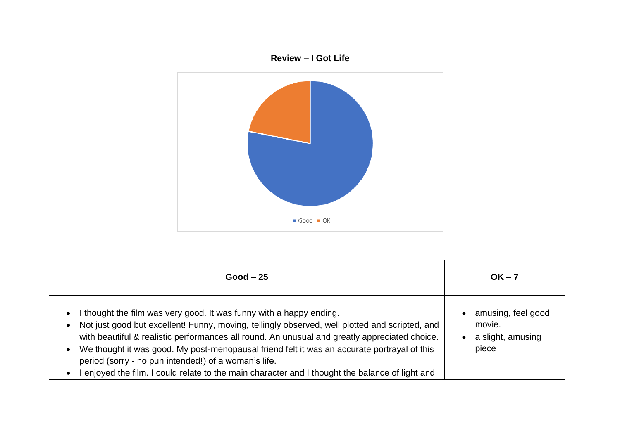

| $Good - 25$                                                                                                                                                                                                                                                                                                                                                                                                                                                                                                                        | $OK - 7$                                                   |
|------------------------------------------------------------------------------------------------------------------------------------------------------------------------------------------------------------------------------------------------------------------------------------------------------------------------------------------------------------------------------------------------------------------------------------------------------------------------------------------------------------------------------------|------------------------------------------------------------|
| I thought the film was very good. It was funny with a happy ending.<br>• Not just good but excellent! Funny, moving, tellingly observed, well plotted and scripted, and<br>with beautiful & realistic performances all round. An unusual and greatly appreciated choice.<br>We thought it was good. My post-menopausal friend felt it was an accurate portrayal of this<br>period (sorry - no pun intended!) of a woman's life.<br>l enjoyed the film. I could relate to the main character and I thought the balance of light and | amusing, feel good<br>movie.<br>a slight, amusing<br>piece |